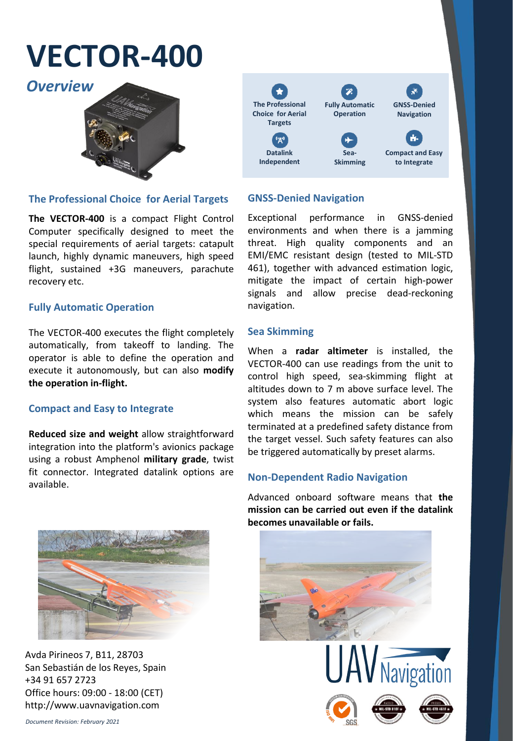## **VECTOR-400**





#### **The Professional Choice for Aerial Targets**

**The VECTOR-400** is a compact Flight Control Computer specifically designed to meet the special requirements of aerial targets: catapult launch, highly dynamic maneuvers, high speed flight, sustained +3G maneuvers, parachute recovery etc.

#### **Fully Automatic Operation**

The VECTOR-400 executes the flight completely automatically, from takeoff to landing. The operator is able to define the operation and execute it autonomously, but can also **modify the operation in-flight.**

#### **Compact and Easy to Integrate**

**Reduced size and weight** allow straightforward integration into the platform's avionics package using a robust Amphenol **military grade**, twist fit connector. Integrated datalink options are available.



Avda Pirineos 7, B11, 28703 San Sebastián de los Reyes, Spain +34 91 657 2723 Office hours: 09:00 - 18:00 (CET) http://www.uavnavigation.com

#### **GNSS-Denied Navigation**

Exceptional performance in GNSS-denied environments and when there is a jamming threat. High quality components and an EMI/EMC resistant design (tested to MIL-STD 461), together with advanced estimation logic, mitigate the impact of certain high-power signals and allow precise dead-reckoning navigation.

#### **Sea Skimming**

When a **radar altimeter** is installed, the VECTOR-400 can use readings from the unit to control high speed, sea-skimming flight at altitudes down to 7 m above surface level. The system also features automatic abort logic which means the mission can be safely terminated at a predefined safety distance from the target vessel. Such safety features can also be triggered automatically by preset alarms.

#### **Non-Dependent Radio Navigation**

Advanced onboard software means that **the mission can be carried out even if the datalink becomes unavailable or fails.**